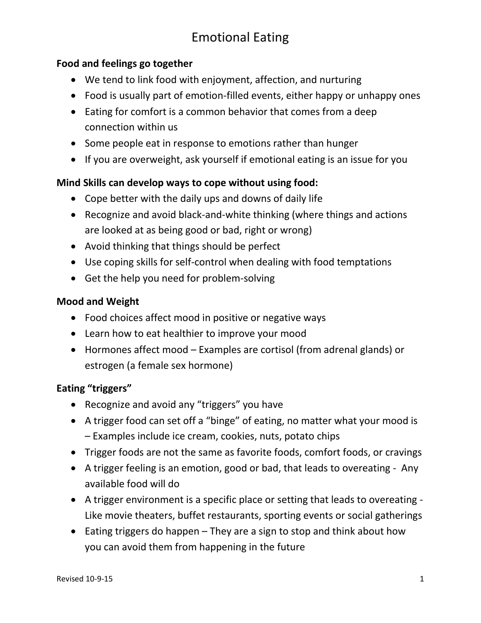# Emotional Eating

#### **Food and feelings go together**

- We tend to link food with enjoyment, affection, and nurturing
- Food is usually part of emotion-filled events, either happy or unhappy ones
- Eating for comfort is a common behavior that comes from a deep connection within us
- Some people eat in response to emotions rather than hunger
- If you are overweight, ask yourself if emotional eating is an issue for you

#### **Mind Skills can develop ways to cope without using food:**

- Cope better with the daily ups and downs of daily life
- Recognize and avoid black-and-white thinking (where things and actions are looked at as being good or bad, right or wrong)
- Avoid thinking that things should be perfect
- Use coping skills for self-control when dealing with food temptations
- Get the help you need for problem-solving

#### **Mood and Weight**

- Food choices affect mood in positive or negative ways
- Learn how to eat healthier to improve your mood
- Hormones affect mood Examples are cortisol (from adrenal glands) or estrogen (a female sex hormone)

#### **Eating "triggers"**

- Recognize and avoid any "triggers" you have
- A trigger food can set off a "binge" of eating, no matter what your mood is – Examples include ice cream, cookies, nuts, potato chips
- Trigger foods are not the same as favorite foods, comfort foods, or cravings
- A trigger feeling is an emotion, good or bad, that leads to overeating Any available food will do
- A trigger environment is a specific place or setting that leads to overeating Like movie theaters, buffet restaurants, sporting events or social gatherings
- Eating triggers do happen They are a sign to stop and think about how you can avoid them from happening in the future